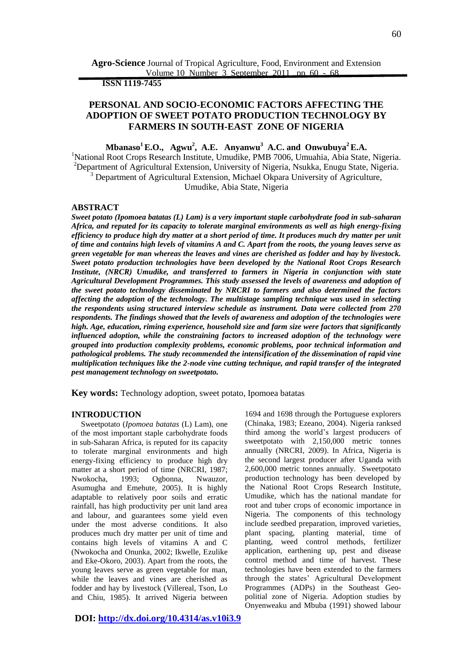**Agro-Science** Journal of Tropical Agriculture, Food, Environment and Extension Volume 10 Number 3 September 2011 pp 60 - 68

 **ISSN 1119-7455**

# **PERSONAL AND SOCIO-ECONOMIC FACTORS AFFECTING THE ADOPTION OF SWEET POTATO PRODUCTION TECHNOLOGY BY FARMERS IN SOUTH-EAST ZONE OF NIGERIA**

**Mbanaso<sup>1</sup>E.O., Agwu<sup>2</sup> , A.E. Anyanwu<sup>3</sup> A.C. and Onwubuya<sup>2</sup>E.A.** <sup>1</sup>National Root Crops Research Institute, Umudike, PMB 7006, Umuahia, Abia State, Nigeria. <sup>2</sup>Department of Agricultural Extension, University of Nigeria, Nsukka, Enugu State, Nigeria. <sup>3</sup> Department of Agricultural Extension, Michael Okpara University of Agriculture, Umudike, Abia State, Nigeria

#### **ABSTRACT**

*Sweet potato (Ipomoea batatas (L) Lam) is a very important staple carbohydrate food in sub-saharan Africa, and reputed for its capacity to tolerate marginal environments as well as high energy-fixing efficiency to produce high dry matter at a short period of time. It produces much dry matter per unit of time and contains high levels of vitamins A and C. Apart from the roots, the young leaves serve as green vegetable for man whereas the leaves and vines are cherished as fodder and hay by livestock. Sweet potato production technologies have been developed by the National Root Crops Research Institute, (NRCR) Umudike, and transferred to farmers in Nigeria in conjunction with state Agricultural Development Programmes. This study assessed the levels of awareness and adoption of the sweet potato technology disseminated by NRCRI to farmers and also determined the factors affecting the adoption of the technology. The multistage sampling technique was used in selecting the respondents using structured interview schedule as instrument. Data were collected from 270 respondents. The findings showed that the levels of awareness and adoption of the technologies were high. Age, education, riming experience, household size and farm size were factors that significantly influenced adoption, while the constraining factors to increased adoption of the technology were grouped into production complexity problems, economic problems, poor technical information and pathological problems. The study recommended the intensification of the dissemination of rapid vine multiplication techniques like the 2-node vine cutting technique, and rapid transfer of the integrated pest management technology on sweetpotato.*

**Key words:** Technology adoption, sweet potato, Ipomoea batatas

## **INTRODUCTION**

 Sweetpotato (*Ipomoea batatas* (L) Lam), one of the most important staple carbohydrate foods in sub-Saharan Africa, is reputed for its capacity to tolerate marginal environments and high energy-fixing efficiency to produce high dry matter at a short period of time (NRCRI, 1987; Nwokocha, 1993; Ogbonna, Nwauzor, Asumugha and Emehute, 2005). It is highly adaptable to relatively poor soils and erratic rainfall, has high productivity per unit land area and labour, and guarantees some yield even under the most adverse conditions. It also produces much dry matter per unit of time and contains high levels of vitamins A and C (Nwokocha and Onunka, 2002; Ikwelle, Ezulike and Eke-Okoro, 2003). Apart from the roots, the young leaves serve as green vegetable for man, while the leaves and vines are cherished as fodder and hay by livestock (Villereal, Tson, Lo and Chiu, 1985). It arrived Nigeria between (Chinaka, 1983; Ezeano, 2004). Nigeria ranksed third among the world's largest producers of sweetpotato with 2,150,000 metric tonnes annually (NRCRI, 2009). In Africa, Nigeria is the second largest producer after Uganda with 2,600,000 metric tonnes annually. Sweetpotato production technology has been developed by the National Root Crops Research Institute, Umudike, which has the national mandate for root and tuber crops of economic importance in Nigeria. The components of this technology include seedbed preparation, improved varieties, plant spacing, planting material, time of planting, weed control methods, fertilizer application, earthening up, pest and disease control method and time of harvest. These technologies have been extended to the farmers through the states' Agricultural Development Programmes (ADPs) in the Southeast Geopolitial zone of Nigeria. Adoption studies by Onyenweaku and Mbuba (1991) showed labour

1694 and 1698 through the Portuguese explorers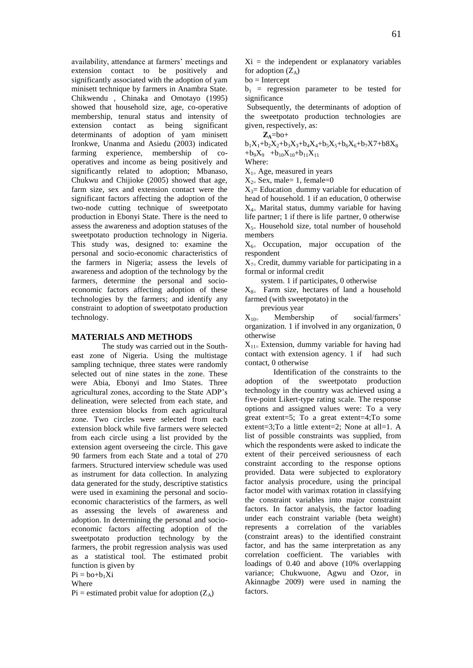availability, attendance at farmers' meetings and extension contact to be positively and significantly associated with the adoption of yam minisett technique by farmers in Anambra State. Chikwendu , Chinaka and Omotayo (1995) showed that household size, age, co-operative membership, tenural status and intensity of extension contact as being significant determinants of adoption of yam minisett Ironkwe, Unanma and Asiedu (2003) indicated farming experience, membership of cooperatives and income as being positively and significantly related to adoption; Mbanaso, Chukwu and Chijioke (2005) showed that age, farm size, sex and extension contact were the significant factors affecting the adoption of the two-node cutting technique of sweetpotato production in Ebonyi State. There is the need to assess the awareness and adoption statuses of the sweetpotato production technology in Nigeria. This study was, designed to: examine the personal and socio-economic characteristics of the farmers in Nigeria; assess the levels of awareness and adoption of the technology by the farmers, determine the personal and socioeconomic factors affecting adoption of these technologies by the farmers; and identify any constraint to adoption of sweetpotato production technology.

### **MATERIALS AND METHODS**

The study was carried out in the Southeast zone of Nigeria. Using the multistage sampling technique, three states were randomly selected out of nine states in the zone. These were Abia, Ebonyi and Imo States. Three agricultural zones, according to the State ADP's delineation, were selected from each state, and three extension blocks from each agricultural zone. Two circles were selected from each extension block while five farmers were selected from each circle using a list provided by the extension agent overseeing the circle. This gave 90 farmers from each State and a total of 270 farmers. Structured interview schedule was used as instrument for data collection. In analyzing data generated for the study, descriptive statistics were used in examining the personal and socioeconomic characteristics of the farmers, as well as assessing the levels of awareness and adoption. In determining the personal and socioeconomic factors affecting adoption of the sweetpotato production technology by the farmers, the probit regression analysis was used as a statistical tool. The estimated probit function is given by

 $Pi = bo + b_1Xi$ 

Where

 $Pi$  = estimated probit value for adoption  $(Z_A)$ 

 $Xi$  = the independent or explanatory variables for adoption  $(Z_A)$ 

bo = Intercept

 $b_1$  = regression parameter to be tested for significance

Subsequently, the determinants of adoption of the sweetpotato production technologies are given, respectively, as:

 $Z_A = bo +$  $b_1X_1+b_2X_2+b_3X_3+b_4X_4+b_5X_5+b_6X_6+b_7X7+b_8X_8$  $+b_9X_9 +b_{10}X_{10}+b_{11}X_{11}$ Where:

 $X_{1-}$  Age, measured in years

 $X_{2}$ = Sex, male= 1, female=0

 $X_3$ = Education dummy variable for education of head of household. 1 if an education, 0 otherwise  $X_{4}$  Marital status, dummy variable for having life partner; 1 if there is life partner, 0 otherwise  $X_{5}$  Household size, total number of household members

 $X_{6}$  Occupation, major occupation of the respondent

 $X_{7}$  Credit, dummy variable for participating in a formal or informal credit

system. 1 if participates, 0 otherwise

 $X_{8=}$  Farm size, hectares of land a household farmed (with sweetpotato) in the

previous year

 $X_{10}$  Membership of social/farmers' organization. 1 if involved in any organization, 0 otherwise

 $X_{11}$  Extension, dummy variable for having had contact with extension agency. 1 if had such contact, 0 otherwise

Identification of the constraints to the adoption of the sweetpotato production technology in the country was achieved using a five-point Likert-type rating scale. The response options and assigned values were: To a very great extent=5; To a great extent=4;To some extent=3;To a little extent=2; None at all=1. A list of possible constraints was supplied, from which the respondents were asked to indicate the extent of their perceived seriousness of each constraint according to the response options provided. Data were subjected to exploratory factor analysis procedure, using the principal factor model with varimax rotation in classifying the constraint variables into major constraint factors. In factor analysis, the factor loading under each constraint variable (beta weight) represents a correlation of the variables (constraint areas) to the identified constraint factor, and has the same interpretation as any correlation coefficient. The variables with loadings of 0.40 and above (10% overlapping variance; Chukwuone, Agwu and Ozor, in Akinnagbe 2009) were used in naming the factors.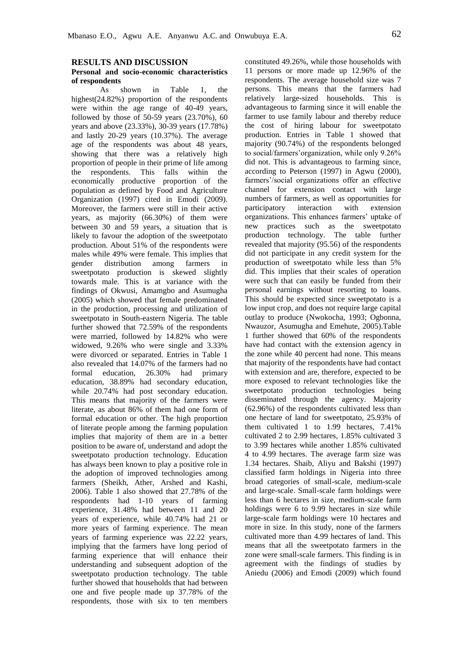#### **RESULTS AND DISCUSSION**

### **Personal and socio-economic characteristics of respondents**

As shown in Table 1, the highest(24.82%) proportion of the respondents were within the age range of 40-49 years, followed by those of  $50-59$  years  $(23.70\%)$ , 60 years and above (23.33%), 30-39 years (17.78%) and lastly 20-29 years (10.37%). The average age of the respondents was about 48 years, showing that there was a relatively high proportion of people in their prime of life among the respondents. This falls within the economically productive proportion of the population as defined by Food and Agriculture Organization (1997) cited in Emodi (2009). Moreover, the farmers were still in their active years, as majority (66.30%) of them were between 30 and 59 years, a situation that is likely to favour the adoption of the sweetpotato production. About 51% of the respondents were males while 49% were female. This implies that gender distribution among farmers in sweetpotato production is skewed slightly towards male. This is at variance with the findings of Okwusi, Amamgbo and Asumugha (2005) which showed that female predominated in the production, processing and utilization of sweetpotato in South-eastern Nigeria. The table further showed that 72.59% of the respondents were married, followed by 14.82% who were widowed, 9.26% who were single and 3.33% were divorced or separated. Entries in Table 1 also revealed that 14.07% of the farmers had no formal education, 26.30% had primary education, 38.89% had secondary education, while 20.74% had post secondary education. This means that majority of the farmers were literate, as about 86% of them had one form of formal education or other. The high proportion of literate people among the farming population implies that majority of them are in a better position to be aware of, understand and adopt the sweetpotato production technology. Education has always been known to play a positive role in the adoption of improved technologies among farmers (Sheikh, Ather, Arshed and Kashi, 2006). Table 1 also showed that 27.78% of the respondents had 1-10 years of farming experience, 31.48% had between 11 and 20 years of experience, while 40.74% had 21 or more years of farming experience. The mean years of farming experience was 22.22 years, implying that the farmers have long period of farming experience that will enhance their understanding and subsequent adoption of the sweetpotato production technology. The table further showed that households that had between one and five people made up 37.78% of the respondents, those with six to ten members

constituted 49.26%, while those households with 11 persons or more made up 12.96% of the respondents. The average household size was 7 persons. This means that the farmers had relatively large-sized households. This is advantageous to farming since it will enable the farmer to use family labour and thereby reduce the cost of hiring labour for sweetpotato production. Entries in Table 1 showed that majority (90.74%) of the respondents belonged to social/farmers'organization, while only 9.26% did not. This is advantageous to farming since, according to Peterson (1997) in Agwu (2000), farmers'/social organizations offer an effective channel for extension contact with large numbers of farmers, as well as opportunities for participatory interaction with extension organizations. This enhances farmers' uptake of new practices such as the sweetpotato production technology. The table further revealed that majority (95.56) of the respondents did not participate in any credit system for the production of sweetpotato while less than 5% did. This implies that their scales of operation were such that can easily be funded from their personal earnings without resorting to loans. This should be expected since sweetpotato is a low input crop, and does not require large capital outlay to produce (Nwokocha, 1993; Ogbonna, Nwauzor, Asumugha and Emehute, 2005).Table 1 further showed that 60% of the respondents have had contact with the extension agency in the zone while 40 percent had none. This means that majority of the respondents have had contact with extension and are, therefore, expected to be more exposed to relevant technologies like the sweetpotato production technologies being disseminated through the agency. Majority (62.96%) of the respondents cultivated less than one hectare of land for sweetpotato, 25.93% of them cultivated 1 to 1.99 hectares, 7.41% cultivated 2 to 2.99 hectares, 1.85% cultivated 3 to 3.99 hectares while another 1.85% cultivated 4 to 4.99 hectares. The average farm size was 1.34 hectares. Shaib, Aliyu and Bakshi (1997) classified farm holdings in Nigeria into three broad categories of small-scale, medium-scale and large-scale. Small-scale farm holdings were less than 6 hectares in size, medium-scale farm holdings were 6 to 9.99 hectares in size while large-scale farm holdings were 10 hectares and more in size. In this study, none of the farmers cultivated more than 4.99 hectares of land. This means that all the sweetpotato farmers in the zone were small-scale farmers. This finding is in agreement with the findings of studies by Aniedu (2006) and Emodi (2009) which found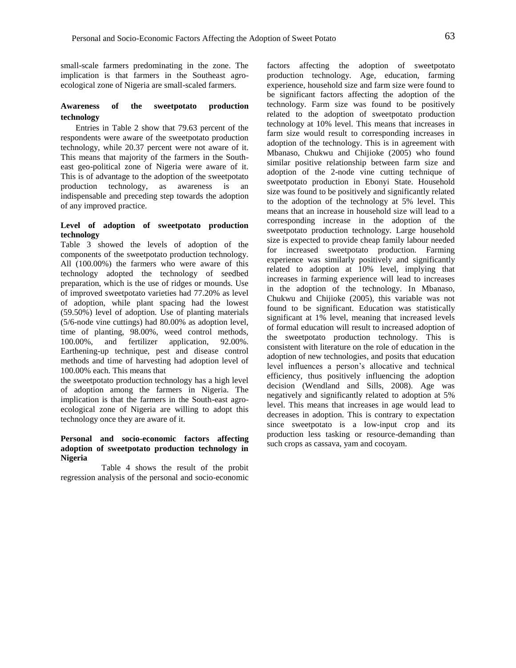small-scale farmers predominating in the zone. The implication is that farmers in the Southeast agroecological zone of Nigeria are small-scaled farmers.

### **Awareness of the sweetpotato production technology**

Entries in Table 2 show that 79.63 percent of the respondents were aware of the sweetpotato production technology, while 20.37 percent were not aware of it. This means that majority of the farmers in the Southeast geo-political zone of Nigeria were aware of it. This is of advantage to the adoption of the sweetpotato production technology, as awareness is an indispensable and preceding step towards the adoption of any improved practice.

### **Level of adoption of sweetpotato production technology**

Table 3 showed the levels of adoption of the components of the sweetpotato production technology. All (100.00%) the farmers who were aware of this technology adopted the technology of seedbed preparation, which is the use of ridges or mounds. Use of improved sweetpotato varieties had 77.20% as level of adoption, while plant spacing had the lowest (59.50%) level of adoption. Use of planting materials (5/6-node vine cuttings) had 80.00% as adoption level, time of planting, 98.00%, weed control methods, 100.00%, and fertilizer application, 92.00%. Earthening-up technique, pest and disease control methods and time of harvesting had adoption level of 100.00% each. This means that

the sweetpotato production technology has a high level of adoption among the farmers in Nigeria. The implication is that the farmers in the South-east agroecological zone of Nigeria are willing to adopt this technology once they are aware of it.

#### **Personal and socio-economic factors affecting adoption of sweetpotato production technology in Nigeria**

 Table 4 shows the result of the probit regression analysis of the personal and socio-economic

factors affecting the adoption of sweetpotato production technology. Age, education, farming experience, household size and farm size were found to be significant factors affecting the adoption of the technology. Farm size was found to be positively related to the adoption of sweetpotato production technology at 10% level. This means that increases in farm size would result to corresponding increases in adoption of the technology. This is in agreement with Mbanaso, Chukwu and Chijioke (2005) who found similar positive relationship between farm size and adoption of the 2-node vine cutting technique of sweetpotato production in Ebonyi State. Household size was found to be positively and significantly related to the adoption of the technology at 5% level. This means that an increase in household size will lead to a corresponding increase in the adoption of the sweetpotato production technology. Large household size is expected to provide cheap family labour needed for increased sweetpotato production. Farming experience was similarly positively and significantly related to adoption at 10% level, implying that increases in farming experience will lead to increases in the adoption of the technology. In Mbanaso, Chukwu and Chijioke (2005), this variable was not found to be significant. Education was statistically significant at 1% level, meaning that increased levels of formal education will result to increased adoption of the sweetpotato production technology. This is consistent with literature on the role of education in the adoption of new technologies, and posits that education level influences a person's allocative and technical efficiency, thus positively influencing the adoption decision (Wendland and Sills, 2008). Age was negatively and significantly related to adoption at 5% level. This means that increases in age would lead to decreases in adoption. This is contrary to expectation since sweetpotato is a low-input crop and its production less tasking or resource-demanding than such crops as cassava, yam and cocoyam.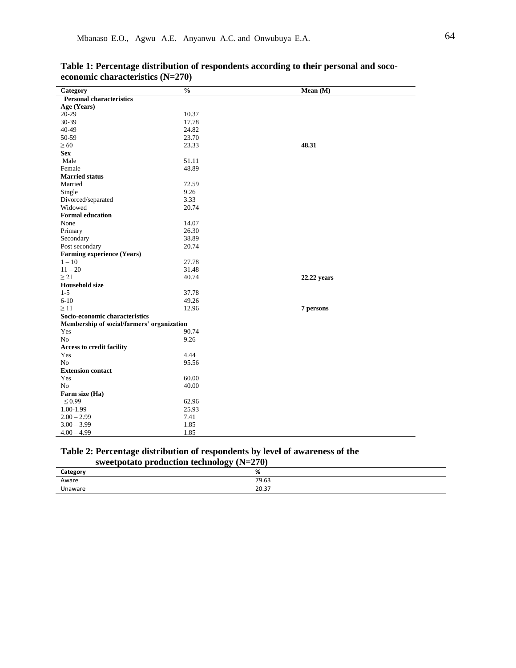| Category                                   | $\frac{0}{0}$ | Mean(M)     |
|--------------------------------------------|---------------|-------------|
| <b>Personal characteristics</b>            |               |             |
| Age (Years)                                |               |             |
| 20-29                                      | 10.37         |             |
| 30-39                                      | 17.78         |             |
| 40-49                                      | 24.82         |             |
| 50-59                                      | 23.70         |             |
| $\geq 60$                                  | 23.33         | 48.31       |
| <b>Sex</b>                                 |               |             |
| Male                                       | 51.11         |             |
| Female                                     | 48.89         |             |
| <b>Married status</b>                      |               |             |
| Married                                    | 72.59         |             |
| Single                                     | 9.26          |             |
| Divorced/separated                         | 3.33          |             |
| Widowed                                    | 20.74         |             |
| <b>Formal education</b>                    |               |             |
| None                                       | 14.07         |             |
| Primary                                    | 26.30         |             |
| Secondary                                  | 38.89         |             |
| Post secondary                             | 20.74         |             |
| Farming experience (Years)                 |               |             |
| $1 - 10$                                   | 27.78         |             |
| $11 - 20$                                  | 31.48         |             |
| $\geq$ 21                                  | 40.74         | 22.22 years |
| <b>Household size</b>                      |               |             |
| $1 - 5$                                    | 37.78         |             |
| $6 - 10$                                   | 49.26         |             |
| $\geq 11$                                  | 12.96         | 7 persons   |
| Socio-economic characteristics             |               |             |
| Membership of social/farmers' organization |               |             |
| Yes                                        | 90.74         |             |
| N <sub>o</sub>                             | 9.26          |             |
| Access to credit facility                  |               |             |
| Yes                                        | 4.44          |             |
| N <sub>o</sub>                             | 95.56         |             |
| <b>Extension contact</b>                   |               |             |
| Yes                                        | 60.00         |             |
| N <sub>o</sub>                             | 40.00         |             |
| Farm size (Ha)                             |               |             |
| $\leq 0.99$                                | 62.96         |             |
| 1.00-1.99                                  | 25.93         |             |
| $2.00 - 2.99$                              | 7.41          |             |
| $3.00 - 3.99$                              | 1.85          |             |
| $4.00 - 4.99$                              | 1.85          |             |

# **Table 1: Percentage distribution of respondents according to their personal and socoeconomic characteristics (N=270)**

# **Table 2: Percentage distribution of respondents by level of awareness of the sweetpotato production technology (N=270)**

| ◡<br>Category | %                     |
|---------------|-----------------------|
| Aware         | 79.63                 |
| Unaware       | דכ חר<br><b>20.37</b> |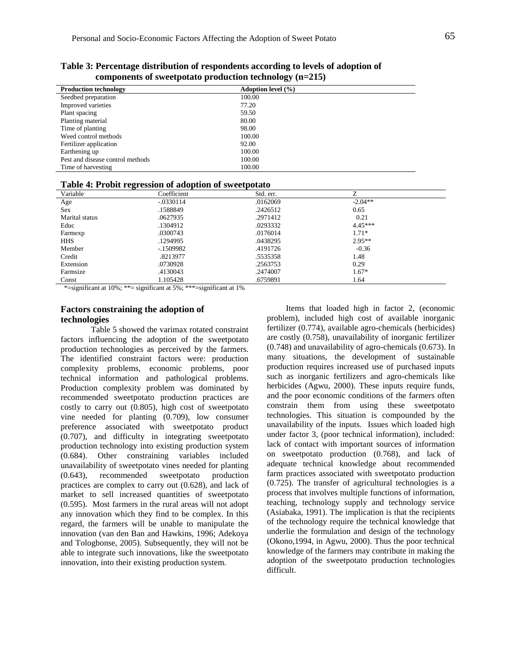|                                  | $\sim$                 |
|----------------------------------|------------------------|
| <b>Production technology</b>     | Adoption level $(\% )$ |
| Seedbed preparation              | 100.00                 |
| Improved varieties               | 77.20                  |
| Plant spacing                    | 59.50                  |
| Planting material                | 80.00                  |
| Time of planting                 | 98.00                  |
| Weed control methods             | 100.00                 |
| Fertilizer application           | 92.00                  |
| Earthening up                    | 100.00                 |
| Pest and disease control methods | 100.00                 |
| Time of harvesting               | 100.00                 |

**Table 3: Percentage distribution of respondents according to levels of adoption of components of sweetpotato production technology (n=215)** 

|  | Table 4: Probit regression of adoption of sweetpotato |  |  |  |  |
|--|-------------------------------------------------------|--|--|--|--|
|--|-------------------------------------------------------|--|--|--|--|

|                | THOIC IN I LODIC LULL CODIOII OF MUOPELOII OF DITCUPOURLO |           |           |  |
|----------------|-----------------------------------------------------------|-----------|-----------|--|
| Variable       | Coefficient                                               | Std. err. | 7         |  |
| Age            | $-.0330114$                                               | .0162069  | $-2.04**$ |  |
| <b>Sex</b>     | .1588849                                                  | .2426512  | 0.65      |  |
| Marital status | .0627935                                                  | .2971412  | 0.21      |  |
| Educ           | .1304912                                                  | .0293332  | $4.45***$ |  |
| Farmexp        | .0300743                                                  | .0176014  | $1.71*$   |  |
| <b>HHS</b>     | .1294995                                                  | .0438295  | $2.95**$  |  |
| Member         | $-1509982$                                                | .4191726  | $-0.36$   |  |
| Credit         | .8213977                                                  | .5535358  | 1.48      |  |
| Extension      | .0730928                                                  | .2563753  | 0.29      |  |
| Farmsize       | .4130043                                                  | .2474007  | $1.67*$   |  |
| Const          | 1.105428                                                  | .6759891  | 1.64      |  |
|                |                                                           |           |           |  |

\*=significant at 10%; \*\*= significant at 5%; \*\*\*=significant at 1%

## **Factors constraining the adoption of technologies**

Table 5 showed the varimax rotated constraint factors influencing the adoption of the sweetpotato production technologies as perceived by the farmers. The identified constraint factors were: production complexity problems, economic problems, poor technical information and pathological problems. Production complexity problem was dominated by recommended sweetpotato production practices are costly to carry out (0.805), high cost of sweetpotato vine needed for planting (0.709), low consumer preference associated with sweetpotato product (0.707), and difficulty in integrating sweetpotato production technology into existing production system (0.684). Other constraining variables included unavailability of sweetpotato vines needed for planting (0.643), recommended sweetpotato production practices are complex to carry out (0.628), and lack of market to sell increased quantities of sweetpotato (0.595). Most farmers in the rural areas will not adopt any innovation which they find to be complex. In this regard, the farmers will be unable to manipulate the innovation (van den Ban and Hawkins, 1996; Adekoya and Tologbonse, 2005). Subsequently, they will not be able to integrate such innovations, like the sweetpotato innovation, into their existing production system.

 Items that loaded high in factor 2, (economic problem), included high cost of available inorganic fertilizer (0.774), available agro-chemicals (herbicides) are costly (0.758), unavailability of inorganic fertilizer (0.748) and unavailability of agro-chemicals (0.673). In many situations, the development of sustainable production requires increased use of purchased inputs such as inorganic fertilizers and agro-chemicals like herbicides (Agwu, 2000). These inputs require funds, and the poor economic conditions of the farmers often constrain them from using these sweetpotato technologies. This situation is compounded by the unavailability of the inputs. Issues which loaded high under factor 3, (poor technical information), included: lack of contact with important sources of information on sweetpotato production (0.768), and lack of adequate technical knowledge about recommended farm practices associated with sweetpotato production (0.725). The transfer of agricultural technologies is a process that involves multiple functions of information, teaching, technology supply and technology service (Asiabaka, 1991). The implication is that the recipients of the technology require the technical knowledge that underlie the formulation and design of the technology (Okono,1994, in Agwu, 2000). Thus the poor technical knowledge of the farmers may contribute in making the adoption of the sweetpotato production technologies difficult.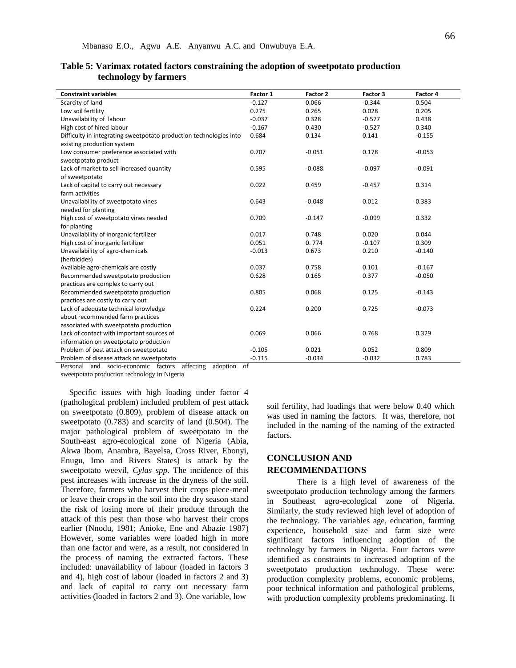| <b>Constraint variables</b><br>Factor 3<br>Factor 4<br>Factor 1<br>Factor 2<br>$-0.127$<br>0.066<br>Scarcity of land<br>$-0.344$<br>0.504<br>0.275<br>0.028<br>0.205<br>Low soil fertility<br>0.265<br>$-0.037$<br>Unavailability of labour<br>0.328<br>$-0.577$<br>0.438 |
|---------------------------------------------------------------------------------------------------------------------------------------------------------------------------------------------------------------------------------------------------------------------------|
|                                                                                                                                                                                                                                                                           |
|                                                                                                                                                                                                                                                                           |
|                                                                                                                                                                                                                                                                           |
|                                                                                                                                                                                                                                                                           |
| High cost of hired labour<br>$-0.167$<br>0.430<br>$-0.527$<br>0.340                                                                                                                                                                                                       |
| Difficulty in integrating sweetpotato production technologies into<br>0.684<br>0.134<br>0.141<br>$-0.155$                                                                                                                                                                 |
| existing production system                                                                                                                                                                                                                                                |
| 0.707<br>$-0.051$<br>0.178<br>$-0.053$<br>Low consumer preference associated with                                                                                                                                                                                         |
| sweetpotato product                                                                                                                                                                                                                                                       |
| Lack of market to sell increased quantity<br>0.595<br>$-0.088$<br>$-0.097$<br>$-0.091$                                                                                                                                                                                    |
| of sweetpotato                                                                                                                                                                                                                                                            |
| Lack of capital to carry out necessary<br>0.022<br>0.459<br>$-0.457$<br>0.314                                                                                                                                                                                             |
| farm activities                                                                                                                                                                                                                                                           |
| Unavailability of sweetpotato vines<br>0.643<br>$-0.048$<br>0.012<br>0.383                                                                                                                                                                                                |
| needed for planting                                                                                                                                                                                                                                                       |
| High cost of sweetpotato vines needed<br>0.709<br>$-0.099$<br>0.332<br>$-0.147$                                                                                                                                                                                           |
| for planting                                                                                                                                                                                                                                                              |
| 0.020<br>Unavailability of inorganic fertilizer<br>0.017<br>0.748<br>0.044                                                                                                                                                                                                |
| High cost of inorganic fertilizer<br>$-0.107$<br>0.309<br>0.051<br>0.774                                                                                                                                                                                                  |
| Unavailability of agro-chemicals<br>$-0.013$<br>0.673<br>0.210<br>$-0.140$                                                                                                                                                                                                |
| (herbicides)                                                                                                                                                                                                                                                              |
| Available agro-chemicals are costly<br>0.037<br>0.758<br>0.101<br>$-0.167$                                                                                                                                                                                                |
| 0.165<br>0.377<br>$-0.050$<br>Recommended sweetpotato production<br>0.628                                                                                                                                                                                                 |
| practices are complex to carry out                                                                                                                                                                                                                                        |
| Recommended sweetpotato production<br>0.805<br>0.068<br>0.125<br>$-0.143$                                                                                                                                                                                                 |
| practices are costly to carry out                                                                                                                                                                                                                                         |
| 0.224<br>Lack of adequate technical knowledge<br>0.200<br>0.725<br>$-0.073$                                                                                                                                                                                               |
| about recommended farm practices                                                                                                                                                                                                                                          |
| associated with sweetpotato production                                                                                                                                                                                                                                    |
| Lack of contact with important sources of<br>0.069<br>0.066<br>0.768<br>0.329                                                                                                                                                                                             |
| information on sweetpotato production                                                                                                                                                                                                                                     |
| 0.021<br>0.052<br>Problem of pest attack on sweetpotato<br>$-0.105$<br>0.809                                                                                                                                                                                              |
| Problem of disease attack on sweetpotato<br>$-0.115$<br>$-0.034$<br>$-0.032$<br>0.783                                                                                                                                                                                     |

| Table 5: Varimax rotated factors constraining the adoption of sweetpotato production |
|--------------------------------------------------------------------------------------|
| technology by farmers                                                                |

Personal and socio-economic factors affecting adoption of

sweetpotato production technology in Nigeria

 Specific issues with high loading under factor 4 (pathological problem) included problem of pest attack on sweetpotato (0.809), problem of disease attack on sweetpotato (0.783) and scarcity of land (0.504). The major pathological problem of sweetpotato in the South-east agro-ecological zone of Nigeria (Abia, Akwa Ibom, Anambra, Bayelsa, Cross River, Ebonyi, Enugu, Imo and Rivers States) is attack by the sweetpotato weevil, *Cylas spp*. The incidence of this pest increases with increase in the dryness of the soil. Therefore, farmers who harvest their crops piece-meal or leave their crops in the soil into the dry season stand the risk of losing more of their produce through the attack of this pest than those who harvest their crops earlier (Nnodu, 1981; Anioke, Ene and Abazie 1987) However, some variables were loaded high in more than one factor and were, as a result, not considered in the process of naming the extracted factors. These included: unavailability of labour (loaded in factors 3 and 4), high cost of labour (loaded in factors 2 and 3) and lack of capital to carry out necessary farm activities (loaded in factors 2 and 3). One variable, low

soil fertility, had loadings that were below 0.40 which was used in naming the factors. It was, therefore, not included in the naming of the naming of the extracted factors.

## **CONCLUSION AND RECOMMENDATIONS**

There is a high level of awareness of the sweetpotato production technology among the farmers in Southeast agro-ecological zone of Nigeria. Similarly, the study reviewed high level of adoption of the technology. The variables age, education, farming experience, household size and farm size were significant factors influencing adoption of the technology by farmers in Nigeria. Four factors were identified as constraints to increased adoption of the sweetpotato production technology. These were: production complexity problems, economic problems, poor technical information and pathological problems, with production complexity problems predominating. It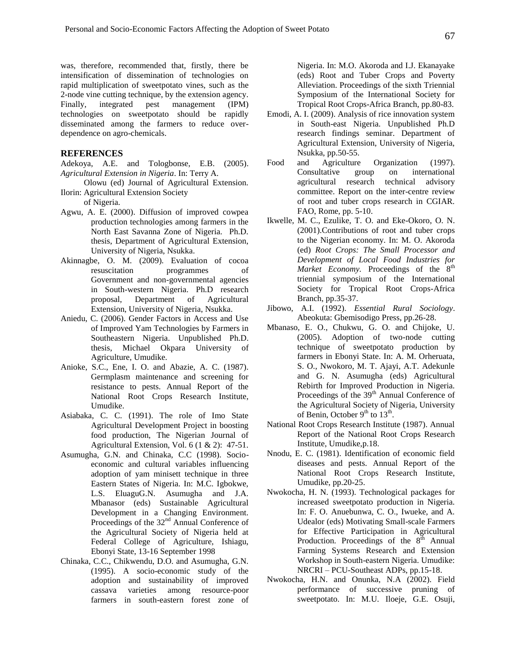was, therefore, recommended that, firstly, there be intensification of dissemination of technologies on rapid multiplication of sweetpotato vines, such as the 2-node vine cutting technique, by the extension agency. Finally, integrated pest management (IPM) technologies on sweetpotato should be rapidly disseminated among the farmers to reduce overdependence on agro-chemicals.

#### **REFERENCES**

Adekoya, A.E. and Tologbonse, E.B. (2005). *Agricultural Extension in Nigeria*. In: Terry A.

 Olowu (ed) Journal of Agricultural Extension. Ilorin: Agricultural Extension Society

of Nigeria.

- Agwu, A. E. (2000). Diffusion of improved cowpea production technologies among farmers in the North East Savanna Zone of Nigeria. Ph.D. thesis, Department of Agricultural Extension, University of Nigeria, Nsukka.
- Akinnagbe, O. M. (2009). Evaluation of cocoa resuscitation programmes of Government and non-governmental agencies in South-western Nigeria. Ph.D research proposal, Department of Agricultural Extension, University of Nigeria, Nsukka.
- Aniedu, C. (2006). Gender Factors in Access and Use of Improved Yam Technologies by Farmers in Southeastern Nigeria. Unpublished Ph.D. thesis, Michael Okpara University of Agriculture, Umudike.
- Anioke, S.C., Ene, I. O. and Abazie, A. C. (1987). Germplasm maintenance and screening for resistance to pests. Annual Report of the National Root Crops Research Institute, Umudike.
- Asiabaka, C. C. (1991). The role of Imo State Agricultural Development Project in boosting food production, The Nigerian Journal of Agricultural Extension, Vol. 6 (1 & 2): 47-51.
- Asumugha, G.N. and Chinaka, C.C (1998). Socioeconomic and cultural variables influencing adoption of yam minisett technique in three Eastern States of Nigeria. In: M.C. Igbokwe, L.S. EluaguG.N. Asumugha and J.A. Mbanasor (eds) Sustainable Agricultural Development in a Changing Environment. Proceedings of the 32<sup>nd</sup> Annual Conference of the Agricultural Society of Nigeria held at Federal College of Agriculture, Ishiagu, Ebonyi State, 13-16 September 1998
- Chinaka, C.C., Chikwendu, D.O. and Asumugha, G.N. (1995). A socio-economic study of the adoption and sustainability of improved cassava varieties among resource-poor farmers in south-eastern forest zone of

Nigeria. In: M.O. Akoroda and I.J. Ekanayake (eds) Root and Tuber Crops and Poverty Alleviation. Proceedings of the sixth Triennial Symposium of the International Society for Tropical Root Crops-Africa Branch, pp.80-83.

- Emodi, A. I. (2009). Analysis of rice innovation system in South-east Nigeria. Unpublished Ph.D research findings seminar. Department of Agricultural Extension, University of Nigeria, Nsukka, pp.50-55.
- Food and Agriculture Organization (1997). Consultative group on international agricultural research technical advisory committee. Report on the inter-centre review of root and tuber crops research in CGIAR. FAO, Rome, pp. 5-10.
- Ikwelle, M. C., Ezulike, T. O. and Eke-Okoro, O. N. (2001).Contributions of root and tuber crops to the Nigerian economy. In: M. O. Akoroda (ed) *Root Crops: The Small Processor and Development of Local Food Industries for Market Economy.* Proceedings of the 8<sup>th</sup> triennial symposium of the International Society for Tropical Root Crops-Africa Branch, pp.35-37.
- Jibowo, A.I. (1992). *Essential Rural Sociology*. Abeokuta: Gbemisodigo Press, pp.26-28.
- Mbanaso, E. O., Chukwu, G. O. and Chijoke, U. (2005). Adoption of two-node cutting technique of sweetpotato production by farmers in Ebonyi State. In: A. M. Orheruata, S. O., Nwokoro, M. T. Ajayi, A.T. Adekunle and G. N. Asumugha (eds) Agricultural Rebirth for Improved Production in Nigeria. Proceedings of the 39<sup>th</sup> Annual Conference of the Agricultural Society of Nigeria, University of Benin, October  $9<sup>th</sup>$  to  $13<sup>th</sup>$ .
- National Root Crops Research Institute (1987). Annual Report of the National Root Crops Research Institute, Umudike,p.18.
- Nnodu, E. C. (1981). Identification of economic field diseases and pests. Annual Report of the National Root Crops Research Institute, Umudike, pp.20-25.
- Nwokocha, H. N. (1993). Technological packages for increased sweetpotato production in Nigeria. In: F. O. Anuebunwa, C. O., Iwueke, and A. Udealor (eds) Motivating Small-scale Farmers for Effective Participation in Agricultural Production. Proceedings of the  $8<sup>th</sup>$  Annual Farming Systems Research and Extension Workshop in South-eastern Nigeria. Umudike: NRCRI – PCU-Southeast ADPs, pp.15-18.
- Nwokocha, H.N. and Onunka, N.A (2002). Field performance of successive pruning of sweetpotato. In: M.U. Iloeje, G.E. Osuji,